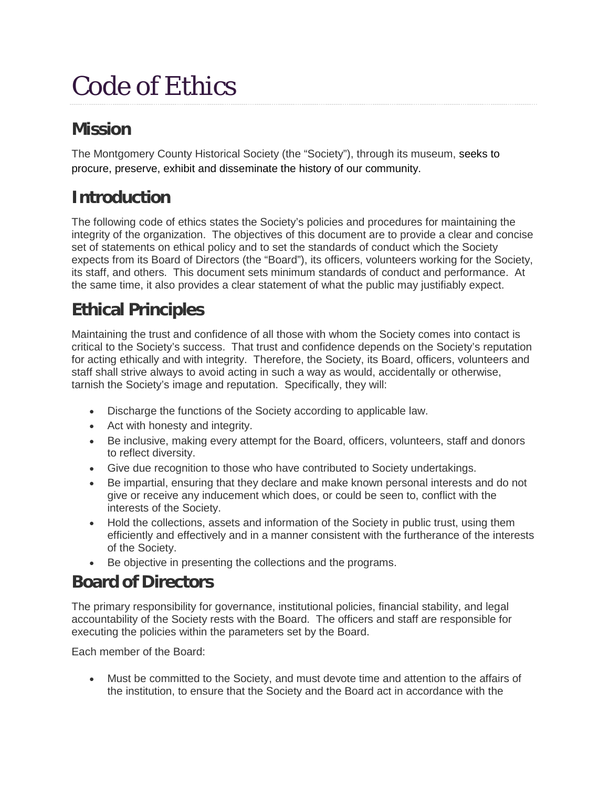# Code of Ethics

## **Mission**

The Montgomery County Historical Society (the "Society"), through its museum, seeks to procure, preserve, exhibit and disseminate the history of our community.

## **Introduction**

The following code of ethics states the Society's policies and procedures for maintaining the integrity of the organization. The objectives of this document are to provide a clear and concise set of statements on ethical policy and to set the standards of conduct which the Society expects from its Board of Directors (the "Board"), its officers, volunteers working for the Society, its staff, and others. This document sets minimum standards of conduct and performance. At the same time, it also provides a clear statement of what the public may justifiably expect.

### **Ethical Principles**

Maintaining the trust and confidence of all those with whom the Society comes into contact is critical to the Society's success. That trust and confidence depends on the Society's reputation for acting ethically and with integrity. Therefore, the Society, its Board, officers, volunteers and staff shall strive always to avoid acting in such a way as would, accidentally or otherwise, tarnish the Society's image and reputation. Specifically, they will:

- Discharge the functions of the Society according to applicable law.
- Act with honesty and integrity.
- Be inclusive, making every attempt for the Board, officers, volunteers, staff and donors to reflect diversity.
- Give due recognition to those who have contributed to Society undertakings.
- Be impartial, ensuring that they declare and make known personal interests and do not give or receive any inducement which does, or could be seen to, conflict with the interests of the Society.
- Hold the collections, assets and information of the Society in public trust, using them efficiently and effectively and in a manner consistent with the furtherance of the interests of the Society.
- Be objective in presenting the collections and the programs.

#### **Board of Directors**

The primary responsibility for governance, institutional policies, financial stability, and legal accountability of the Society rests with the Board. The officers and staff are responsible for executing the policies within the parameters set by the Board.

Each member of the Board:

• Must be committed to the Society, and must devote time and attention to the affairs of the institution, to ensure that the Society and the Board act in accordance with the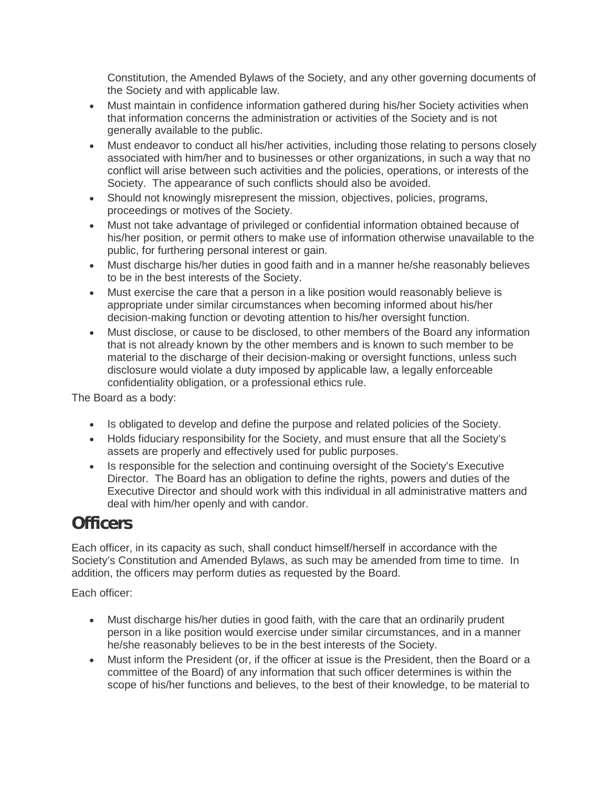Constitution, the Amended Bylaws of the Society, and any other governing documents of the Society and with applicable law.

- Must maintain in confidence information gathered during his/her Society activities when that information concerns the administration or activities of the Society and is not generally available to the public.
- Must endeavor to conduct all his/her activities, including those relating to persons closely associated with him/her and to businesses or other organizations, in such a way that no conflict will arise between such activities and the policies, operations, or interests of the Society. The appearance of such conflicts should also be avoided.
- Should not knowingly misrepresent the mission, objectives, policies, programs, proceedings or motives of the Society.
- Must not take advantage of privileged or confidential information obtained because of his/her position, or permit others to make use of information otherwise unavailable to the public, for furthering personal interest or gain.
- Must discharge his/her duties in good faith and in a manner he/she reasonably believes to be in the best interests of the Society.
- Must exercise the care that a person in a like position would reasonably believe is appropriate under similar circumstances when becoming informed about his/her decision-making function or devoting attention to his/her oversight function.
- Must disclose, or cause to be disclosed, to other members of the Board any information that is not already known by the other members and is known to such member to be material to the discharge of their decision-making or oversight functions, unless such disclosure would violate a duty imposed by applicable law, a legally enforceable confidentiality obligation, or a professional ethics rule.

The Board as a body:

- Is obligated to develop and define the purpose and related policies of the Society.
- Holds fiduciary responsibility for the Society, and must ensure that all the Society's assets are properly and effectively used for public purposes.
- Is responsible for the selection and continuing oversight of the Society's Executive Director. The Board has an obligation to define the rights, powers and duties of the Executive Director and should work with this individual in all administrative matters and deal with him/her openly and with candor.

#### **Officers**

Each officer, in its capacity as such, shall conduct himself/herself in accordance with the Society's Constitution and Amended Bylaws, as such may be amended from time to time. In addition, the officers may perform duties as requested by the Board.

Each officer:

- Must discharge his/her duties in good faith, with the care that an ordinarily prudent person in a like position would exercise under similar circumstances, and in a manner he/she reasonably believes to be in the best interests of the Society.
- Must inform the President (or, if the officer at issue is the President, then the Board or a committee of the Board) of any information that such officer determines is within the scope of his/her functions and believes, to the best of their knowledge, to be material to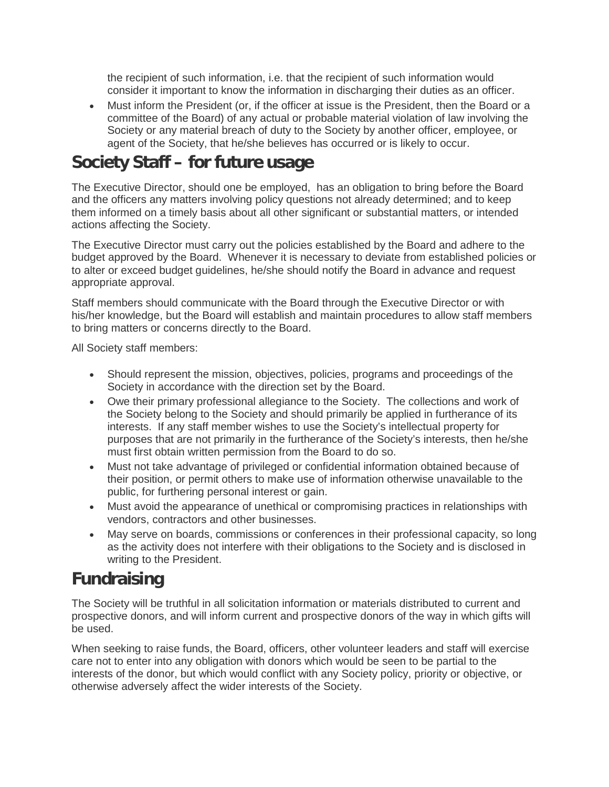the recipient of such information, i.e. that the recipient of such information would consider it important to know the information in discharging their duties as an officer.

• Must inform the President (or, if the officer at issue is the President, then the Board or a committee of the Board) of any actual or probable material violation of law involving the Society or any material breach of duty to the Society by another officer, employee, or agent of the Society, that he/she believes has occurred or is likely to occur.

#### **Society Staff – for future usage**

The Executive Director, should one be employed, has an obligation to bring before the Board and the officers any matters involving policy questions not already determined; and to keep them informed on a timely basis about all other significant or substantial matters, or intended actions affecting the Society.

The Executive Director must carry out the policies established by the Board and adhere to the budget approved by the Board. Whenever it is necessary to deviate from established policies or to alter or exceed budget guidelines, he/she should notify the Board in advance and request appropriate approval.

Staff members should communicate with the Board through the Executive Director or with his/her knowledge, but the Board will establish and maintain procedures to allow staff members to bring matters or concerns directly to the Board.

All Society staff members:

- Should represent the mission, objectives, policies, programs and proceedings of the Society in accordance with the direction set by the Board.
- Owe their primary professional allegiance to the Society. The collections and work of the Society belong to the Society and should primarily be applied in furtherance of its interests. If any staff member wishes to use the Society's intellectual property for purposes that are not primarily in the furtherance of the Society's interests, then he/she must first obtain written permission from the Board to do so.
- Must not take advantage of privileged or confidential information obtained because of their position, or permit others to make use of information otherwise unavailable to the public, for furthering personal interest or gain.
- Must avoid the appearance of unethical or compromising practices in relationships with vendors, contractors and other businesses.
- May serve on boards, commissions or conferences in their professional capacity, so long as the activity does not interfere with their obligations to the Society and is disclosed in writing to the President.

#### **Fundraising**

The Society will be truthful in all solicitation information or materials distributed to current and prospective donors, and will inform current and prospective donors of the way in which gifts will be used.

When seeking to raise funds, the Board, officers, other volunteer leaders and staff will exercise care not to enter into any obligation with donors which would be seen to be partial to the interests of the donor, but which would conflict with any Society policy, priority or objective, or otherwise adversely affect the wider interests of the Society.